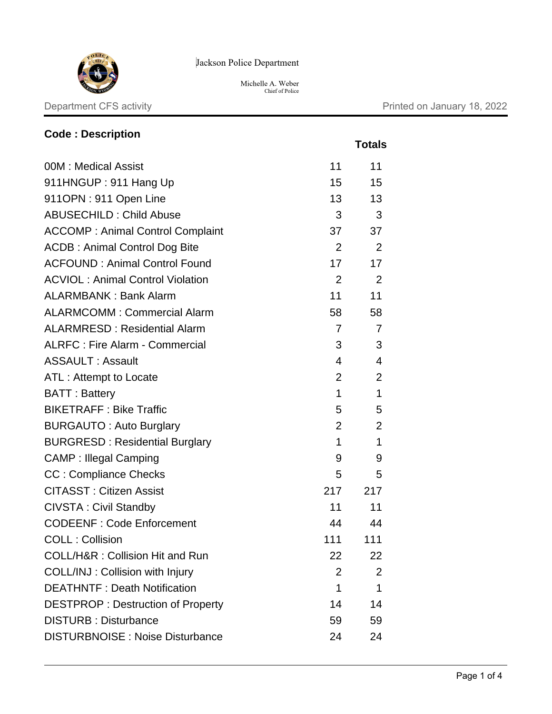

Jackson Police Department

Michelle A. Weber Chief of Police

Department CFS activity **Department CFS** activity

 **Totals**

| <b>Code: Description</b>                |                |                |
|-----------------------------------------|----------------|----------------|
|                                         |                | <b>Totals</b>  |
| 00M: Medical Assist                     | 11             | 11             |
| 911HNGUP: 911 Hang Up                   | 15             | 15             |
| 911OPN: 911 Open Line                   | 13             | 13             |
| <b>ABUSECHILD: Child Abuse</b>          | 3              | 3              |
| <b>ACCOMP: Animal Control Complaint</b> | 37             | 37             |
| <b>ACDB: Animal Control Dog Bite</b>    | $\overline{2}$ | 2              |
| <b>ACFOUND: Animal Control Found</b>    | 17             | 17             |
| <b>ACVIOL: Animal Control Violation</b> | 2              | $\overline{2}$ |
| <b>ALARMBANK: Bank Alarm</b>            | 11             | 11             |
| <b>ALARMCOMM: Commercial Alarm</b>      | 58             | 58             |
| <b>ALARMRESD: Residential Alarm</b>     | 7              | 7              |
| <b>ALRFC: Fire Alarm - Commercial</b>   | 3              | 3              |
| <b>ASSAULT: Assault</b>                 | 4              | 4              |
| ATL: Attempt to Locate                  | $\overline{2}$ | $\overline{2}$ |
| <b>BATT: Battery</b>                    | 1              | 1              |
| <b>BIKETRAFF: Bike Traffic</b>          | 5              | 5              |
| <b>BURGAUTO: Auto Burglary</b>          | $\overline{2}$ | $\overline{2}$ |

BURGRESD : Residential Burglary 1 1 1 1 CAMP : Illegal Camping 9 9 CC : Compliance Checks 5 5 5 CITASST : Citizen Assist 217 217 CIVSTA: Civil Standby 11 11 11 CODEENF : Code Enforcement 44 44 44 COLL : Collision 111 111 111 COLL/H&R : Collision Hit and Run 22 22 22 COLL/INJ : Collision with Injury 2 2 2 DEATHNTF: Death Notification 1 1 1 1 1 DESTPROP : Destruction of Property 14 14 14 DISTURB : Disturbance 59 59 59 DISTURBNOISE : Noise Disturbance 24 24

Page 1 of 4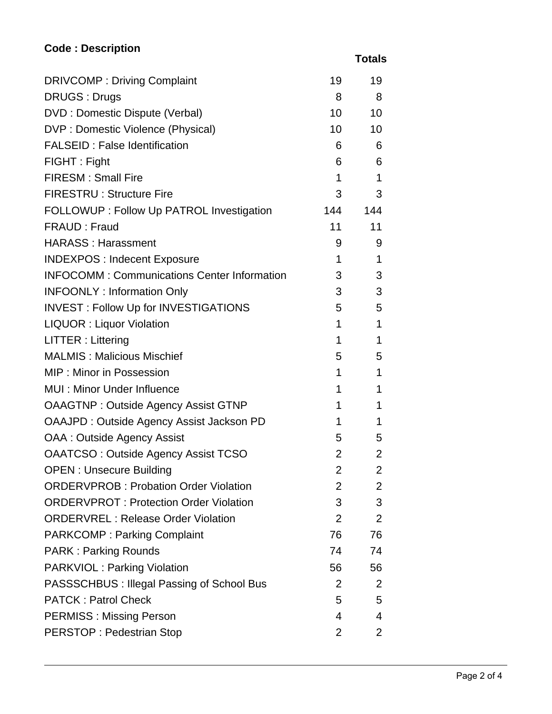## **Code : Description**

 **Totals**

| <b>DRIVCOMP: Driving Complaint</b>                 | 19              | 19             |
|----------------------------------------------------|-----------------|----------------|
| <b>DRUGS: Drugs</b>                                | 8               | 8              |
| DVD : Domestic Dispute (Verbal)                    | 10 <sup>1</sup> | 10             |
| DVP : Domestic Violence (Physical)                 | 10 <sup>1</sup> | 10             |
| <b>FALSEID: False Identification</b>               | 6               | 6              |
| FIGHT: Fight                                       | 6               | 6              |
| <b>FIRESM: Small Fire</b>                          | 1               | 1              |
| <b>FIRESTRU: Structure Fire</b>                    | 3               | 3              |
| FOLLOWUP : Follow Up PATROL Investigation          | 144             | 144            |
| FRAUD: Fraud                                       | 11              | 11             |
| <b>HARASS: Harassment</b>                          | 9               | 9              |
| <b>INDEXPOS: Indecent Exposure</b>                 | 1               | 1              |
| <b>INFOCOMM: Communications Center Information</b> | 3               | 3              |
| <b>INFOONLY: Information Only</b>                  | 3               | 3              |
| <b>INVEST: Follow Up for INVESTIGATIONS</b>        | 5               | 5              |
| <b>LIQUOR: Liquor Violation</b>                    | 1               | 1              |
| <b>LITTER: Littering</b>                           | 1               | 1              |
| <b>MALMIS: Malicious Mischief</b>                  | 5               | 5              |
| <b>MIP: Minor in Possession</b>                    | 1               | 1              |
| <b>MUI: Minor Under Influence</b>                  | 1               | 1              |
| <b>OAAGTNP: Outside Agency Assist GTNP</b>         | 1               | 1              |
| OAAJPD: Outside Agency Assist Jackson PD           | 1               | 1              |
| OAA : Outside Agency Assist                        | 5               | 5              |
| <b>OAATCSO: Outside Agency Assist TCSO</b>         | $\overline{2}$  | $\overline{2}$ |
| <b>OPEN: Unsecure Building</b>                     | $\overline{2}$  | $\overline{2}$ |
| <b>ORDERVPROB: Probation Order Violation</b>       | 2               | $\overline{2}$ |
| <b>ORDERVPROT: Protection Order Violation</b>      | 3               | 3              |
| <b>ORDERVREL: Release Order Violation</b>          | $\overline{2}$  | 2              |
| <b>PARKCOMP: Parking Complaint</b>                 | 76              | 76             |
| <b>PARK: Parking Rounds</b>                        | 74              | 74             |
| <b>PARKVIOL: Parking Violation</b>                 | 56              | 56             |
| PASSSCHBUS : Illegal Passing of School Bus         | $\overline{2}$  | 2              |
| <b>PATCK: Patrol Check</b>                         | 5               | 5              |
| <b>PERMISS: Missing Person</b>                     | 4               | 4              |
| <b>PERSTOP: Pedestrian Stop</b>                    | $\overline{2}$  | $\mathbf{2}$   |
|                                                    |                 |                |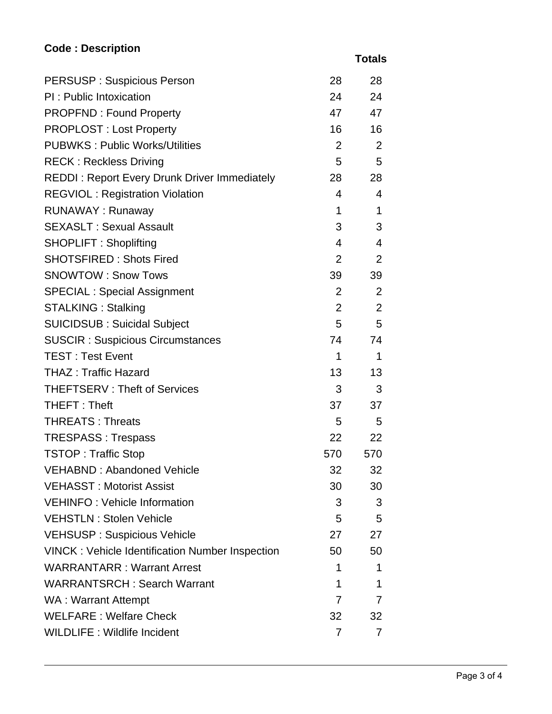## **Code : Description**

 **Totals**

| <b>PERSUSP: Suspicious Person</b>                      | 28             | 28             |
|--------------------------------------------------------|----------------|----------------|
| PI: Public Intoxication                                | 24             | 24             |
| <b>PROPFND: Found Property</b>                         | 47             | 47             |
| <b>PROPLOST: Lost Property</b>                         | 16             | 16             |
| <b>PUBWKS: Public Works/Utilities</b>                  | $\overline{2}$ | 2              |
| <b>RECK: Reckless Driving</b>                          | 5              | 5              |
| <b>REDDI: Report Every Drunk Driver Immediately</b>    | 28             | 28             |
| <b>REGVIOL: Registration Violation</b>                 | 4              | $\overline{4}$ |
| RUNAWAY: Runaway                                       | $\mathbf{1}$   | 1              |
| <b>SEXASLT: Sexual Assault</b>                         | 3              | 3              |
| <b>SHOPLIFT: Shoplifting</b>                           | $\overline{4}$ | $\overline{4}$ |
| <b>SHOTSFIRED: Shots Fired</b>                         | $\overline{2}$ | 2              |
| <b>SNOWTOW: Snow Tows</b>                              | 39             | 39             |
| <b>SPECIAL: Special Assignment</b>                     | $\overline{2}$ | 2              |
| <b>STALKING: Stalking</b>                              | $\overline{2}$ | 2              |
| <b>SUICIDSUB: Suicidal Subject</b>                     | 5              | 5              |
| <b>SUSCIR: Suspicious Circumstances</b>                | 74             | 74             |
| <b>TEST: Test Event</b>                                | 1              | 1              |
| <b>THAZ: Traffic Hazard</b>                            | 13             | 13             |
| <b>THEFTSERV: Theft of Services</b>                    | 3              | 3              |
| THEFT: Theft                                           | 37             | 37             |
| <b>THREATS: Threats</b>                                | 5              | 5              |
| <b>TRESPASS: Trespass</b>                              | 22             | 22             |
| <b>TSTOP: Traffic Stop</b>                             | 570            | 570            |
| VEHABND: Abandoned Vehicle                             | 32             | 32             |
| <b>VEHASST: Motorist Assist</b>                        | 30             | 30             |
| <b>VEHINFO: Vehicle Information</b>                    | 3              | 3              |
| <b>VEHSTLN: Stolen Vehicle</b>                         | 5              | 5              |
| <b>VEHSUSP: Suspicious Vehicle</b>                     | 27             | 27             |
| <b>VINCK: Vehicle Identification Number Inspection</b> | 50             | 50             |
| <b>WARRANTARR: Warrant Arrest</b>                      | 1              | 1              |
| <b>WARRANTSRCH: Search Warrant</b>                     | 1              | 1              |
| WA: Warrant Attempt                                    | 7              | 7              |
| <b>WELFARE: Welfare Check</b>                          | 32             | 32             |
| <b>WILDLIFE: Wildlife Incident</b>                     | 7              | 7              |
|                                                        |                |                |